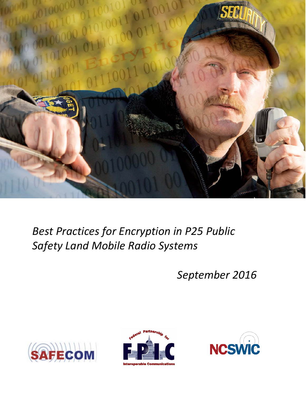

# *Best Practices for Encryption in P25 Public Safety Land Mobile Radio Systems*

*September 2016*





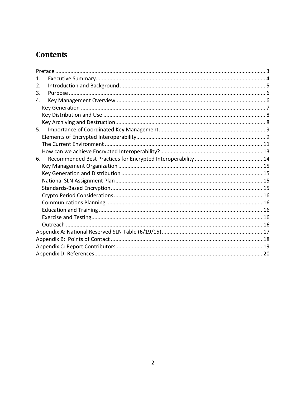# **Contents**

| 1. |  |  |  |  |
|----|--|--|--|--|
| 2. |  |  |  |  |
| 3. |  |  |  |  |
| 4. |  |  |  |  |
|    |  |  |  |  |
|    |  |  |  |  |
|    |  |  |  |  |
| 5. |  |  |  |  |
|    |  |  |  |  |
|    |  |  |  |  |
|    |  |  |  |  |
| 6. |  |  |  |  |
|    |  |  |  |  |
|    |  |  |  |  |
|    |  |  |  |  |
|    |  |  |  |  |
|    |  |  |  |  |
|    |  |  |  |  |
|    |  |  |  |  |
|    |  |  |  |  |
|    |  |  |  |  |
|    |  |  |  |  |
|    |  |  |  |  |
|    |  |  |  |  |
|    |  |  |  |  |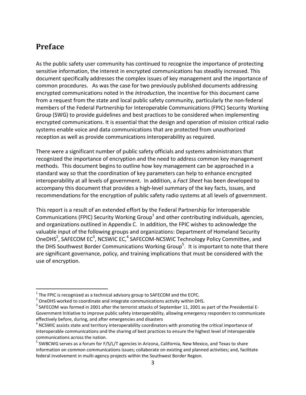#### <span id="page-2-0"></span>**Preface**

 $\overline{a}$ 

As the public safety user community has continued to recognize the importance of protecting sensitive information, the interest in encrypted communications has steadily increased. This document specifically addresses the complex issues of key management and the importance of common procedures. As was the case for two previously published documents addressing encrypted communications noted in the *Introduction*, the incentive for this document came from a request from the state and local public safety community, particularly the non-federal members of the Federal Partnership for Interoperable Communications (FPIC) Security Working Group (SWG) to provide guidelines and best practices to be considered when implementing encrypted communications. It is essential that the design and operation of mission critical radio systems enable voice and data communications that are protected from unauthorized reception as well as provide communications interoperability as required.

There were a significant number of public safety officials and systems administrators that recognized the importance of encryption and the need to address common key management methods. This document begins to outline how key management can be approached in a standard way so that the coordination of key parameters can help to enhance encrypted interoperability at all levels of government. In addition, a *Fact Sheet* has been developed to accompany this document that provides a high-level summary of the key facts, issues, and recommendations for the encryption of public safety radio systems at all levels of government.

This report is a result of an extended effort by the Federal Partnership for Interoperable Communications (FPIC) Security Working Group<sup>1</sup> and other contributing individuals, agencies, and organizations outlined in Appendix C. In addition, the FPIC wishes to acknowledge the valuable input of the following groups and organizations: Department of Homeland Security OneDHS<sup>2</sup>, SAFECOM EC<sup>3</sup>, NCSWIC EC,<sup>4</sup> SAFECOM-NCSWIC Technology Policy Committee, and the DHS Southwest Border Communications Working Group<sup>5</sup>. It is important to note that there are significant governance, policy, and training implications that must be considered with the use of encryption.

<sup>&</sup>lt;sup>1</sup> The FPIC is recognized as a technical advisory group to SAFECOM and the ECPC.<br>
<sup>2</sup> OneDHS worked to coordinate and integrate communications activity within DHS.<br>
<sup>3</sup> SAFECOM was formed in 2001 after the terrorist atta Government Initiative to improve public safety interoperability, allowing emergency responders to communicate effectively before, during, and after emergencies and disasters 4

 $<sup>4</sup>$  NCSWIC assists state and territory interoperability coordinators with promoting the critical importance of</sup> interoperable communications and the sharing of best practices to ensure the highest level of interoperable communications across the nation.

 $^5$  SWBCWG serves as a forum for F/S/L/T agencies in Arizona, California, New Mexico, and Texas to share information on common communications issues; collaborate on existing and planned activities; and, facilitate federal involvement in multi-agency projects within the Southwest Border Region.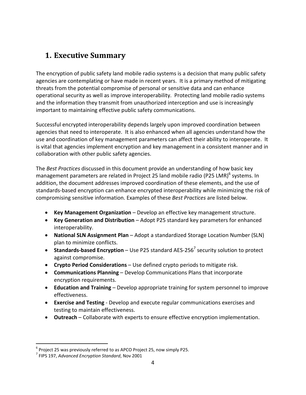# <span id="page-3-0"></span>**1. Executive Summary**

The encryption of public safety land mobile radio systems is a decision that many public safety agencies are contemplating or have made in recent years. It is a primary method of mitigating threats from the potential compromise of personal or sensitive data and can enhance operational security as well as improve interoperability. Protecting land mobile radio systems and the information they transmit from unauthorized interception and use is increasingly important to maintaining effective public safety communications.

Successful encrypted interoperability depends largely upon improved coordination between agencies that need to interoperate. It is also enhanced when all agencies understand how the use and coordination of key management parameters can affect their ability to interoperate. It is vital that agencies implement encryption and key management in a consistent manner and in collaboration with other public safety agencies.

The *Best Practices* discussed in this document provide an understanding of how basic key management parameters are related in Project 25 land mobile radio (P25 LMR)<sup>6</sup> systems. In addition, the document addresses improved coordination of these elements, and the use of standards-based encryption can enhance encrypted interoperability while minimizing the risk of compromising sensitive information. Examples of these *Best Practices* are listed below.

- **Key Management Organization** Develop an effective key management structure.
- **Key Generation and Distribution** Adopt P25 standard key parameters for enhanced interoperability.
- **National SLN Assignment Plan** Adopt a standardized Storage Location Number (SLN) plan to minimize conflicts.
- **Standards-based Encryption** Use P25 standard AES-256<sup>7</sup> security solution to protect against compromise.
- **Crypto Period Considerations** Use defined crypto periods to mitigate risk.
- **Communications Planning** Develop Communications Plans that incorporate encryption requirements.
- **Education and Training** Develop appropriate training for system personnel to improve effectiveness.
- **Exercise and Testing**  Develop and execute regular communications exercises and testing to maintain effectiveness.
- **Outreach** Collaborate with experts to ensure effective encryption implementation.

 $\overline{a}$ <sup>6</sup> Project 25 was previously referred to as APCO Project 25, now simply P25.<br><sup>7</sup> FIPS 197, *Advanced Encryption Standard*, Nov 2001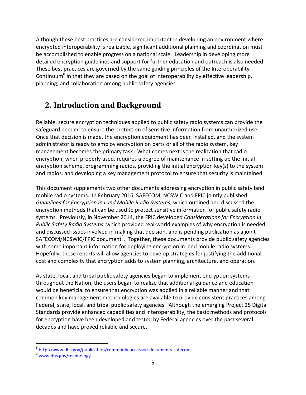Although these best practices are considered important in developing an environment where encrypted interoperability is realizable, significant additional planning and coordination must be accomplished to enable progress on a national scale. Leadership in developing more detailed encryption guidelines and support for further education and outreach is also needed. These best practices are governed by the same guiding principles of the Interoperability Continuum<sup>8</sup> in that they are based on the goal of interoperability by effective leadership, planning, and collaboration among public safety agencies.

# <span id="page-4-0"></span>**2. Introduction and Background**

Reliable, secure encryption techniques applied to public safety radio systems can provide the safeguard needed to ensure the protection of sensitive information from unauthorized use. Once that decision is made, the encryption equipment has been installed, and the system administrator is ready to employ encryption on parts or all of the radio system, key management becomes the primary task. What comes next is the realization that radio encryption, when properly used, requires a degree of maintenance in setting up the initial encryption scheme, programming radios, providing the initial encryption key(s) to the system and radios, and developing a key management protocol to ensure that security is maintained.

This document supplements two other documents addressing encryption in public safety land mobile radio systems. In February 2016, SAFECOM, NCSWIC and FPIC jointly published *Guidelines for Encryption in Land Mobile Radio Systems*, which outlined and discussed the encryption methods that can be used to protect sensitive information for public safety radio systems. Previously, in November 2014, the FPIC developed *Considerations for Encryption in Public Safety Radio Systems*, which provided real-world examples of why encryption is needed and discussed issues involved in making that decision, and is pending publication as a joint SAFECOM/NCSWIC/FPIC document $^9$ . Together, these documents provide public safety agencies with some important information for deploying encryption in land mobile radio systems. Hopefully, these reports will allow agencies to develop strategies for justifying the additional cost and complexity that encryption adds to system planning, architecture, and operation.

As state, local, and tribal public safety agencies began to implement encryption systems throughout the Nation, the users began to realize that additional guidance and education would be beneficial to ensure that encryption was applied in a reliable manner and that common key management methodologies are available to provide consistent practices among Federal, state, local, and tribal public safety agencies. Although the emerging Project 25 Digital Standards provide enhanced capabilities and interoperability, the basic methods and protocols for encryption have been developed and tested by Federal agencies over the past several decades and have proved reliable and secure.

 $\overline{a}$ 

<sup>&</sup>lt;sup>8</sup> http://www.dhs.gov/publication/commonly-accessed-documents-safecom<br><sup>9</sup> www.dhs.gov/technology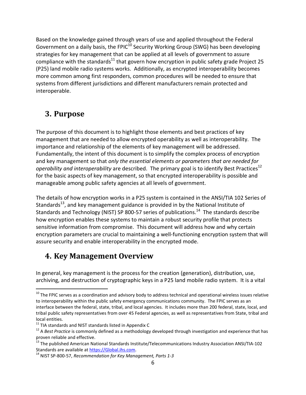Based on the knowledge gained through years of use and applied throughout the Federal Government on a daily basis, the FPIC $10$  Security Working Group (SWG) has been developing strategies for key management that can be applied at all levels of government to assure compliance with the standards<sup>11</sup> that govern how encryption in public safety grade Project 25 (P25) land mobile radio systems works. Additionally, as encrypted interoperability becomes more common among first responders, common procedures will be needed to ensure that systems from different jurisdictions and different manufacturers remain protected and interoperable.

# <span id="page-5-0"></span>**3. Purpose**

 $\overline{a}$ 

The purpose of this document is to highlight those elements and best practices of key management that are needed to allow encrypted operability as well as interoperability. The importance and relationship of the elements of key management will be addressed. Fundamentally, the intent of this document is to simplify the complex process of encryption and key management so that *only the essential elements or parameters that are needed for operability and interoperability* are described. The primary goal is to identify Best Practices 12 for the basic aspects of key management, so that encrypted interoperability is possible and manageable among public safety agencies at all levels of government.

The details of how encryption works in a P25 system is contained in the ANSI/TIA 102 Series of Standards<sup>13</sup>, and key management guidance is provided in by the National Institute of Standards and Technology (NIST) SP 800-57 series of publications.<sup>14</sup> The standards describe how encryption enables these systems to maintain a robust security profile that protects sensitive information from compromise. This document will address how and why certain encryption parameters are crucial to maintaining a well-functioning encryption system that will assure security and enable interoperability in the encrypted mode.

### <span id="page-5-1"></span>**4. Key Management Overview**

In general, key management is the process for the creation (generation), distribution, use, archiving, and destruction of cryptographic keys in a P25 land mobile radio system. It is a vital

 $10$  The FPIC serves as a coordination and advisory body to address technical and operational wireless issues relative to interoperability within the public safety emergency communications community. The FPIC serves as an interface between the federal, state, tribal, and local agencies. It includes more than 200 federal, state, local, and tribal public safety representatives from over 45 Federal agencies, as well as representatives from State, tribal and local entities.<br><sup>11</sup> TIA standards and NIST standards listed in Appendix C<br><sup>12</sup> A *Best Practice* is commonly defined as a methodology developed through investigation and experience that has

proven reliable and effective.<br><sup>13</sup> The published American National Standards Institute/Telecommunications Industry Association ANSI/TIA-102<br>Standards are available at https://Global.ihs.com.

<sup>&</sup>lt;sup>14</sup> NIST SP-800-57, Recommendation for Key Management, Parts 1-3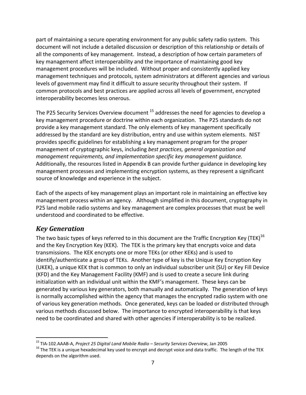part of maintaining a secure operating environment for any public safety radio system. This document will not include a detailed discussion or description of this relationship or details of all the components of key management. Instead, a description of how certain parameters of key management affect interoperability and the importance of maintaining good key management procedures will be included. Without proper and consistently applied key management techniques and protocols, system administrators at different agencies and various levels of government may find it difficult to assure security throughout their system. If common protocols and best practices are applied across all levels of government, encrypted interoperability becomes less onerous.

The P25 Security Services Overview document <sup>15</sup> addresses the need for agencies to develop a key management procedure or doctrine within each organization. The P25 standards do not provide a key management standard. The only elements of key management specifically addressed by the standard are key distribution, entry and use within system elements. NIST provides specific guidelines for establishing a key management program for the proper management of cryptographic keys, including *best practices, general organization and management requirements, and implementation specific key management guidance.*  Additionally, the resources listed in Appendix B can provide further guidance in developing key management processes and implementing encryption systems, as they represent a significant source of knowledge and experience in the subject.

Each of the aspects of key management plays an important role in maintaining an effective key management process within an agency. Although simplified in this document, cryptography in P25 land mobile radio systems and key management are complex processes that must be well understood and coordinated to be effective.

#### <span id="page-6-0"></span>*Key Generation*

The two basic types of keys referred to in this document are the Traffic Encryption Key (TEK)<sup>16</sup> and the Key Encryption Key (KEK). The TEK is the primary key that encrypts voice and data transmissions. The KEK encrypts one or more TEKs (or other KEKs) and is used to identify/authenticate a group of TEKs. Another type of key is the Unique Key Encryption Key (UKEK), a unique KEK that is common to only an individual subscriber unit (SU) or Key Fill Device (KFD) and the Key Management Facility (KMF) and is used to create a secure link during initialization with an individual unit within the KMF's management. These keys can be generated by various key generators, both manually and automatically. The generation of keys is normally accomplished within the agency that manages the encrypted radio system with one of various key generation methods. Once generated, keys can be loaded or distributed through various methods discussed below. The importance to encrypted interoperability is that keys need to be coordinated and shared with other agencies if interoperability is to be realized.

<sup>&</sup>lt;sup>15</sup> TIA-102.AAAB-A, Project 25 Digital Land Mobile Radio - Security Services Overview, Jan 2005

<sup>&</sup>lt;sup>16</sup> The TEK is a unique hexadecimal key used to encrypt and decrypt voice and data traffic. The length of the TEK depends on the algorithm used.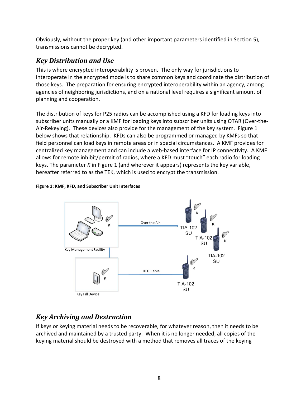Obviously, without the proper key (and other important parameters identified in Section 5), transmissions cannot be decrypted.

#### <span id="page-7-0"></span>*Key Distribution and Use*

This is where encrypted interoperability is proven. The only way for jurisdictions to interoperate in the encrypted mode is to share common keys and coordinate the distribution of those keys. The preparation for ensuring encrypted interoperability within an agency, among agencies of neighboring jurisdictions, and on a national level requires a significant amount of planning and cooperation.

The distribution of keys for P25 radios can be accomplished using a KFD for loading keys into subscriber units manually or a KMF for loading keys into subscriber units using OTAR (Over-the-Air-Rekeying). These devices also provide for the management of the key system. Figure 1 below shows that relationship. KFDs can also be programmed or managed by KMFs so that field personnel can load keys in remote areas or in special circumstances. A KMF provides for centralized key management and can include a web-based interface for IP connectivity. A KMF allows for remote inhibit/permit of radios, where a KFD must "touch" each radio for loading keys. The parameter *K* in Figure 1 (and wherever it appears) represents the key variable, hereafter referred to as the TEK, which is used to encrypt the transmission.





#### <span id="page-7-1"></span>*Key Archiving and Destruction*

If keys or keying material needs to be recoverable, for whatever reason, then it needs to be archived and maintained by a trusted party. When it is no longer needed, all copies of the keying material should be destroyed with a method that removes all traces of the keying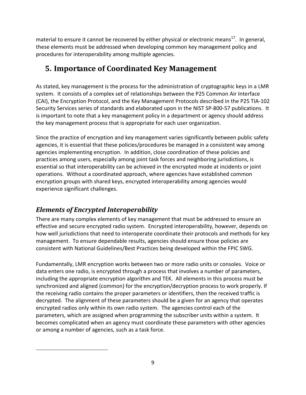material to ensure it cannot be recovered by either physical or electronic means<sup>17</sup>. In general, these elements must be addressed when developing common key management policy and procedures for interoperability among multiple agencies.

# <span id="page-8-0"></span>**5. Importance of Coordinated Key Management**

As stated, key management is the process for the administration of cryptographic keys in a LMR system. It consists of a complex set of relationships between the P25 Common Air Interface (CAI), the Encryption Protocol, and the Key Management Protocols described in the P25 TIA-102 Security Services series of standards and elaborated upon in the NIST SP-800-57 publications. It is important to note that a key management policy in a department or agency should address the key management process that is appropriate for each user organization.

Since the practice of encryption and key management varies significantly between public safety agencies, it is essential that these policies/procedures be managed in a consistent way among agencies implementing encryption. In addition, close coordination of these policies and practices among users, especially among joint task forces and neighboring jurisdictions, is essential so that interoperability can be achieved in the encrypted mode at incidents or joint operations. Without a coordinated approach, where agencies have established common encryption groups with shared keys, encrypted interoperability among agencies would experience significant challenges.

#### <span id="page-8-1"></span>*Elements of Encrypted Interoperability*

There are many complex elements of key management that must be addressed to ensure an effective and secure encrypted radio system. Encrypted interoperability, however, depends on how well jurisdictions that need to interoperate coordinate their protocols and methods for key management. To ensure dependable results, agencies should ensure those policies are consistent with National Guidelines/Best Practices being developed within the FPIC SWG.

Fundamentally, LMR encryption works between two or more radio units or consoles. Voice or data enters one radio, is encrypted through a process that involves a number of parameters, including the appropriate encryption algorithm and TEK. All elements in this process must be synchronized and aligned (common) for the encryption/decryption process to work properly. If the receiving radio contains the proper parameters or identifiers, then the received traffic is decrypted. The alignment of these parameters should be a given for an agency that operates encrypted radios only within its own radio system. The agencies control each of the parameters, which are assigned when programming the subscriber units within a system. It becomes complicated when an agency must coordinate these parameters with other agencies or among a number of agencies, such as a task force.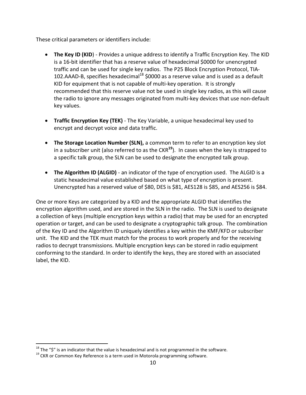These critical parameters or identifiers include:

- **The Key ID (KID**) Provides a unique address to identify a Traffic Encryption Key. The KID is a 16-bit identifier that has a reserve value of hexadecimal \$0000 for unencrypted traffic and can be used for single key radios. The P25 Block Encryption Protocol, TIA-102.AAAD-B, specifies hexadecimal $18$  \$0000 as a reserve value and is used as a default KID for equipment that is not capable of multi-key operation. It is strongly recommended that this reserve value not be used in single key radios, as this will cause the radio to ignore any messages originated from multi-key devices that use non-default key values.
- **Traffic Encryption Key (TEK)** The Key Variable, a unique hexadecimal key used to encrypt and decrypt voice and data traffic.
- **The Storage Location Number (SLN),** a common term to refer to an encryption key slot in a subscriber unit (also referred to as the CKR**<sup>19</sup>**). In cases when the key is strapped to a specific talk group, the SLN can be used to designate the encrypted talk group.
- **The Algorithm ID (ALGID)** an indicator of the type of encryption used. The ALGID is a static hexadecimal value established based on what type of encryption is present. Unencrypted has a reserved value of \$80, DES is \$81, AES128 is \$85, and AES256 is \$84.

One or more Keys are categorized by a KID and the appropriate ALGID that identifies the encryption algorithm used, and are stored in the SLN in the radio. The SLN is used to designate a collection of keys (multiple encryption keys within a radio) that may be used for an encrypted operation or target, and can be used to designate a cryptographic talk group. The combination of the Key ID and the Algorithm ID uniquely identifies a key within the KMF/KFD or subscriber unit. The KID and the TEK must match for the process to work properly and for the receiving radios to decrypt transmissions. Multiple encryption keys can be stored in radio equipment conforming to the standard. In order to identify the keys, they are stored with an associated label, the KID.

<sup>&</sup>lt;sup>18</sup> The "\$" is an indicator that the value is hexadecimal and is not programmed in the software.<br><sup>19</sup> CKR or Common Key Reference is a term used in Motorola programming software.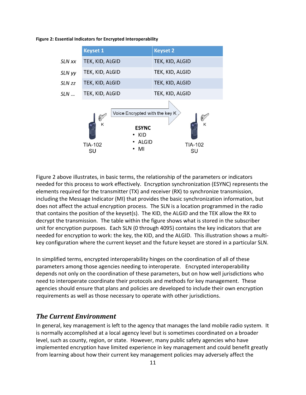

**Figure 2: Essential Indicators for Encrypted Interoperability**

Figure 2 above illustrates, in basic terms, the relationship of the parameters or indicators needed for this process to work effectively. Encryption synchronization (ESYNC) represents the elements required for the transmitter (TX) and receiver (RX) to synchronize transmission, including the Message Indicator (MI) that provides the basic synchronization information, but does not affect the actual encryption process. The SLN is a location programmed in the radio that contains the position of the keyset(s). The KID, the ALGID and the TEK allow the RX to decrypt the transmission. The table within the figure shows what is stored in the subscriber unit for encryption purposes. Each SLN (0 through 4095) contains the key indicators that are needed for encryption to work: the key, the KID, and the ALGID. This illustration shows a multikey configuration where the current keyset and the future keyset are stored in a particular SLN.

In simplified terms, encrypted interoperability hinges on the coordination of all of these parameters among those agencies needing to interoperate. Encrypted interoperability depends not only on the coordination of these parameters, but on how well jurisdictions who need to interoperate coordinate their protocols and methods for key management. These agencies should ensure that plans and policies are developed to include their own encryption requirements as well as those necessary to operate with other jurisdictions.

#### <span id="page-10-0"></span>*The Current Environment*

In general, key management is left to the agency that manages the land mobile radio system. It is normally accomplished at a local agency level but is sometimes coordinated on a broader level, such as county, region, or state. However, many public safety agencies who have implemented encryption have limited experience in key management and could benefit greatly from learning about how their current key management policies may adversely affect the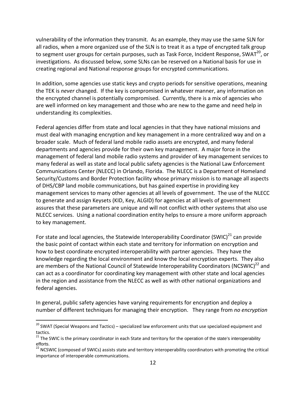vulnerability of the information they transmit. As an example, they may use the same SLN for all radios, when a more organized use of the SLN is to treat it as a type of encrypted talk group to segment user groups for certain purposes, such as Task Force, Incident Response, SWAT<sup>20</sup>, or investigations. As discussed below, some SLNs can be reserved on a National basis for use in creating regional and National response groups for encrypted communications.

In addition, some agencies use static keys and crypto periods for sensitive operations, meaning the TEK is *never* changed. If the key is compromised in whatever manner, any information on the encrypted channel is potentially compromised. Currently, there is a mix of agencies who are well informed on key management and those who are new to the game and need help in understanding its complexities.

Federal agencies differ from state and local agencies in that they have national missions and must deal with managing encryption and key management in a more centralized way and on a broader scale. Much of federal land mobile radio assets are encrypted, and many federal departments and agencies provide for their own key management. A major force in the management of federal land mobile radio systems and provider of key management services to many federal as well as state and local public safety agencies is the National Law Enforcement Communications Center (NLECC) in Orlando, Florida. The NLECC is a Department of Homeland Security/Customs and Border Protection facility whose primary mission is to manage all aspects of DHS/CBP land mobile communications, but has gained expertise in providing key management services to many other agencies at all levels of government. The use of the NLECC to generate and assign Keysets (KID, Key, ALGID) for agencies at all levels of government assures that these parameters are unique and will not conflict with other systems that also use NLECC services. Using a national coordination entity helps to ensure a more uniform approach to key management.

For state and local agencies, the Statewide Interoperability Coordinator (SWIC) $^{21}$  can provide the basic point of contact within each state and territory for information on encryption and how to best coordinate encrypted interoperability with partner agencies. They have the knowledge regarding the local environment and know the local encryption experts. They also are members of the National Council of Statewide Interoperability Coordinators (NCSWIC)<sup>22</sup> and can act as a coordinator for coordinating key management with other state and local agencies in the region and assistance from the NLECC as well as with other national organizations and federal agencies.

In general, public safety agencies have varying requirements for encryption and deploy a number of different techniques for managing their encryption. They range from *no encryption*

<sup>&</sup>lt;sup>20</sup> SWAT (Special Weapons and Tactics) – specialized law enforcement units that use specialized equipment and tactics.

<sup>&</sup>lt;sup>21</sup> The SWIC is the primary coordinator in each State and territory for the operation of the state's interoperability efforts.

 $^{22}$  NCSWIC (composed of SWICs) assists state and territory interoperability coordinators with promoting the critical importance of interoperable communications.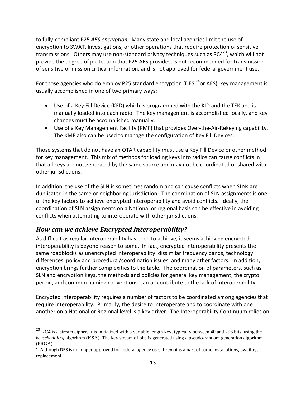to fully-compliant P25 *AES encryption.* Many state and local agencies limit the use of encryption to SWAT, Investigations, or other operations that require protection of sensitive transmissions. Others may use non-standard privacy techniques such as RC4 $^{23}$ , which will not provide the degree of protection that P25 AES provides, is not recommended for transmission of sensitive or mission critical information, and is not approved for federal government use.

For those agencies who do employ P25 standard encryption (DES  $^{24}$ or AES), key management is usually accomplished in one of two primary ways:

- Use of a Key Fill Device (KFD) which is programmed with the KID and the TEK and is manually loaded into each radio. The key management is accomplished locally, and key changes must be accomplished manually.
- Use of a Key Management Facility (KMF) that provides Over-the-Air-Rekeying capability. The KMF also can be used to manage the configuration of Key Fill Devices.

Those systems that do not have an OTAR capability must use a Key Fill Device or other method for key management. This mix of methods for loading keys into radios can cause conflicts in that all keys are not generated by the same source and may not be coordinated or shared with other jurisdictions.

In addition, the use of the SLN is sometimes random and can cause conflicts when SLNs are duplicated in the same or neighboring jurisdiction. The coordination of SLN assignments is one of the key factors to achieve encrypted interoperability and avoid conflicts. Ideally, the coordination of SLN assignments on a National or regional basis can be effective in avoiding conflicts when attempting to interoperate with other jurisdictions.

#### <span id="page-12-0"></span>*How can we achieve Encrypted Interoperability?*

 $\overline{a}$ 

As difficult as regular interoperability has been to achieve, it seems achieving encrypted interoperability is beyond reason to some. In fact, encrypted interoperability presents the same roadblocks as unencrypted interoperability: dissimilar frequency bands, technology differences, policy and procedural/coordination issues, and many other factors. In addition, encryption brings further complexities to the table. The coordination of parameters, such as SLN and encryption keys, the methods and policies for general key management, the crypto period, and common naming conventions, can all contribute to the lack of interoperability.

Encrypted interoperability requires a number of factors to be coordinated among agencies that require interoperability. Primarily, the desire to interoperate and to coordinate with one another on a National or Regional level is a key driver. The Interoperability Continuum relies on

<sup>&</sup>lt;sup>23</sup> RC4 is a stream cipher. It is initialized with a variable length key, typically between 40 and 256 bits, using the *keyscheduling* algorithm (KSA). The key stream of bits is generated using a pseudo-random generation algorithm (PRGA).

<sup>24</sup> Although DES is no longer approved for federal agency use, it remains a part of some installations, awaiting replacement.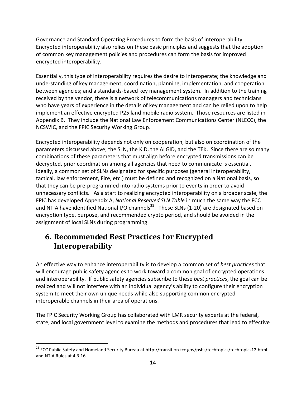Governance and Standard Operating Procedures to form the basis of interoperability. Encrypted interoperability also relies on these basic principles and suggests that the adoption of common key management policies and procedures can form the basis for improved encrypted interoperability.

Essentially, this type of interoperability requires the desire to interoperate; the knowledge and understanding of key management; coordination, planning, implementation, and cooperation between agencies; and a standards-based key management system. In addition to the training received by the vendor, there is a network of telecommunications managers and technicians who have years of experience in the details of key management and can be relied upon to help implement an effective encrypted P25 land mobile radio system. Those resources are listed in Appendix B. They include the National Law Enforcement Communications Center (NLECC), the NCSWIC, and the FPIC Security Working Group.

Encrypted interoperability depends not only on cooperation, but also on coordination of the parameters discussed above; the SLN, the KID, the ALGID, and the TEK. Since there are so many combinations of these parameters that must align before encrypted transmissions can be decrypted, prior coordination among all agencies that need to communicate is essential. Ideally, a common set of SLNs designated for specific purposes (general interoperability, tactical, law enforcement, Fire, etc.) must be defined and recognized on a National basis, so that they can be pre-programmed into radio systems prior to events in order to avoid unnecessary conflicts. As a start to realizing encrypted interoperability on a broader scale, the FPIC has developed Appendix A, *National Reserved SLN Table* in much the same way the FCC and NTIA have identified National I/O channels<sup>25</sup>. These SLNs (1-20) are designated based on encryption type, purpose, and recommended crypto period, and should be avoided in the assignment of local SLNs during programming.

# <span id="page-13-0"></span>**6. Recommended Best Practices for Encrypted Interoperability**

An effective way to enhance interoperability is to develop a common set of *best practices* that will encourage public safety agencies to work toward a common goal of encrypted operations and interoperability. If public safety agencies subscribe to these *best practices*, the goal can be realized and will not interfere with an individual agency's ability to configure their encryption system to meet their own unique needs while also supporting common encrypted interoperable channels in their area of operations.

The FPIC Security Working Group has collaborated with LMR security experts at the federal, state, and local government level to examine the methods and procedures that lead to effective

 $\overline{a}$ <sup>25</sup> FCC Public Safety and Homeland Security Bureau a[t http://transition.fcc.gov/pshs/techtopics/techtopics12.html](http://transition.fcc.gov/pshs/techtopics/techtopics12.html) and NTIA Rules at 4.3.16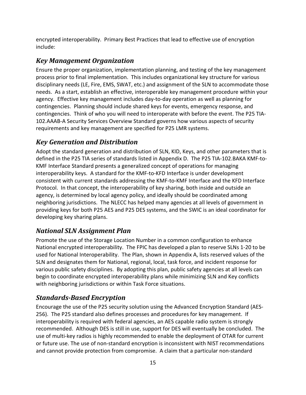encrypted interoperability. Primary Best Practices that lead to effective use of encryption include:

#### <span id="page-14-0"></span>*Key Management Organization*

Ensure the proper organization, implementation planning, and testing of the key management process prior to final implementation. This includes organizational key structure for various disciplinary needs (LE, Fire, EMS, SWAT, etc.) and assignment of the SLN to accommodate those needs. As a start, establish an effective, interoperable key management procedure within your agency. Effective key management includes day-to-day operation as well as planning for contingencies. Planning should include shared keys for events, emergency response, and contingencies. Think of who you will need to interoperate with before the event. The P25 TIA-102.AAAB-A Security Services Overview Standard governs how various aspects of security requirements and key management are specified for P25 LMR systems.

#### <span id="page-14-1"></span>*Key Generation and Distribution*

Adopt the standard generation and distribution of SLN, KID, Keys, and other parameters that is defined in the P25 TIA series of standards listed in Appendix D. The P25 TIA-102.BAKA KMF-to-KMF Interface Standard presents a generalized concept of operations for managing interoperability keys. A standard for the KMF-to-KFD Interface is under development consistent with current standards addressing the KMF-to-KMF Interface and the KFD Interface Protocol. In that concept, the interoperability of key sharing, both inside and outside an agency, is determined by local agency policy, and ideally should be coordinated among neighboring jurisdictions. The NLECC has helped many agencies at all levels of government in providing keys for both P25 AES and P25 DES systems, and the SWIC is an ideal coordinator for developing key sharing plans.

#### <span id="page-14-2"></span>*National SLN Assignment Plan*

Promote the use of the Storage Location Number in a common configuration to enhance National encrypted interoperability. The FPIC has developed a plan to reserve SLNs 1-20 to be used for National Interoperability. The Plan, shown in Appendix A, lists reserved values of the SLN and designates them for National, regional, local, task force, and incident response for various public safety disciplines. By adopting this plan, public safety agencies at all levels can begin to coordinate encrypted interoperability plans while minimizing SLN and Key conflicts with neighboring jurisdictions or within Task Force situations.

#### <span id="page-14-3"></span>*Standards-Based Encryption*

Encourage the use of the P25 security solution using the Advanced Encryption Standard (AES-256). The P25 standard also defines processes and procedures for key management. If interoperability is required with federal agencies, an AES capable radio system is strongly recommended. Although DES is still in use, support for DES will eventually be concluded. The use of multi-key radios is highly recommended to enable the deployment of OTAR for current or future use. The use of non-standard encryption is inconsistent with NIST recommendations and cannot provide protection from compromise. A claim that a particular non-standard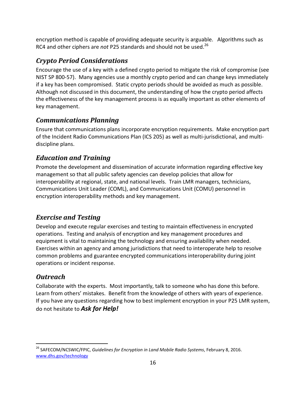encryption method is capable of providing adequate security is arguable. Algorithms such as RC4 and other ciphers are *not* P25 standards and should not be used.<sup>26</sup>

#### <span id="page-15-0"></span>*Crypto Period Considerations*

Encourage the use of a key with a defined crypto period to mitigate the risk of compromise (see NIST SP 800-57). Many agencies use a monthly crypto period and can change keys immediately if a key has been compromised. Static crypto periods should be avoided as much as possible. Although not discussed in this document, the understanding of how the crypto period affects the effectiveness of the key management process is as equally important as other elements of key management.

#### <span id="page-15-1"></span>*Communications Planning*

Ensure that communications plans incorporate encryption requirements. Make encryption part of the Incident Radio Communications Plan (ICS 205) as well as multi-jurisdictional, and multidiscipline plans.

#### <span id="page-15-2"></span>*Education and Training*

Promote the development and dissemination of accurate information regarding effective key management so that all public safety agencies can develop policies that allow for interoperability at regional, state, and national levels. Train LMR managers, technicians, Communications Unit Leader (COML), and Communications Unit (COMU) personnel in encryption interoperability methods and key management.

#### <span id="page-15-3"></span>*Exercise and Testing*

Develop and execute regular exercises and testing to maintain effectiveness in encrypted operations. Testing and analysis of encryption and key management procedures and equipment is vital to maintaining the technology and ensuring availability when needed. Exercises within an agency and among jurisdictions that need to interoperate help to resolve common problems and guarantee encrypted communications interoperability during joint operations or incident response.

#### <span id="page-15-4"></span>*Outreach*

Collaborate with the experts. Most importantly, talk to someone who has done this before. Learn from others' mistakes. Benefit from the knowledge of others with years of experience. If you have any questions regarding how to best implement encryption in your P25 LMR system, do not hesitate to *Ask for Help!*

 $\overline{a}$ <sup>26</sup> SAFECOM/NCSWIC/FPIC, *Guidelines for Encryption in Land Mobile Radio Systems*, February 8, 2016. [www.dhs.gov/technology](http://www.dhs.gov/technology)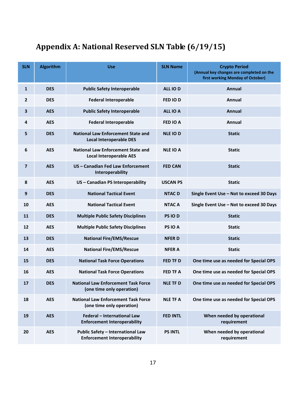# <span id="page-16-0"></span>**Appendix A: National Reserved SLN Table (6/19/15)**

| <b>SLN</b>     | <b>Algorithm</b> | <b>Use</b>                                                                      | <b>SLN Name</b> | <b>Crypto Period</b><br>(Annual key changes are completed on the<br>first working Monday of October) |
|----------------|------------------|---------------------------------------------------------------------------------|-----------------|------------------------------------------------------------------------------------------------------|
| $\mathbf{1}$   | <b>DES</b>       | <b>Public Safety Interoperable</b>                                              | ALL IO D        | Annual                                                                                               |
| 2              | <b>DES</b>       | <b>Federal Interoperable</b>                                                    | FED IOD         | Annual                                                                                               |
| 3              | <b>AES</b>       | <b>Public Safety Interoperable</b>                                              | ALL IO A        | Annual                                                                                               |
| 4              | <b>AES</b>       | <b>Federal Interoperable</b>                                                    | <b>FED IO A</b> | <b>Annual</b>                                                                                        |
| 5              | <b>DES</b>       | <b>National Law Enforcement State and</b><br><b>Local Interoperable DES</b>     | <b>NLE IOD</b>  | <b>Static</b>                                                                                        |
| 6              | <b>AES</b>       | <b>National Law Enforcement State and</b><br><b>Local Interoperable AES</b>     | <b>NLE IO A</b> | <b>Static</b>                                                                                        |
| $\overline{7}$ | <b>AES</b>       | US - Canadian Fed Law Enforcement<br>Interoperability                           | <b>FED CAN</b>  | <b>Static</b>                                                                                        |
| 8              | <b>AES</b>       | US - Canadian PS Interoperability                                               | <b>USCAN PS</b> | <b>Static</b>                                                                                        |
| 9              | <b>DES</b>       | <b>National Tactical Event</b>                                                  | <b>NTAC D</b>   | Single Event Use - Not to exceed 30 Days                                                             |
| 10             | <b>AES</b>       | <b>National Tactical Event</b>                                                  | <b>NTAC A</b>   | Single Event Use - Not to exceed 30 Days                                                             |
| 11             | <b>DES</b>       | <b>Multiple Public Safety Disciplines</b>                                       | PS IO D         | <b>Static</b>                                                                                        |
| 12             | <b>AES</b>       | <b>Multiple Public Safety Disciplines</b>                                       | PS IO A         | <b>Static</b>                                                                                        |
| 13             | <b>DES</b>       | <b>National Fire/EMS/Rescue</b>                                                 | <b>NFERD</b>    | <b>Static</b>                                                                                        |
| 14             | <b>AES</b>       | <b>National Fire/EMS/Rescue</b>                                                 | <b>NFER A</b>   | <b>Static</b>                                                                                        |
| 15             | <b>DES</b>       | <b>National Task Force Operations</b>                                           | <b>FED TF D</b> | One time use as needed for Special OPS                                                               |
| 16             | <b>AES</b>       | <b>National Task Force Operations</b>                                           | <b>FED TF A</b> | One time use as needed for Special OPS                                                               |
| 17             | <b>DES</b>       | National Law Enforcement Task Force<br>(one time only operation)                | <b>NLE TF D</b> | One time use as needed for Special OPS                                                               |
| 18             | <b>AES</b>       | <b>National Law Enforcement Task Force</b><br>(one time only operation)         | <b>NLE TF A</b> | One time use as needed for Special OPS                                                               |
| 19             | <b>AES</b>       | Federal - International Law<br><b>Enforcement Interoperability</b>              | <b>FED INTL</b> | When needed by operational<br>requirement                                                            |
| 20             | <b>AES</b>       | <b>Public Safety - International Law</b><br><b>Enforcement Interoperability</b> | <b>PS INTL</b>  | When needed by operational<br>requirement                                                            |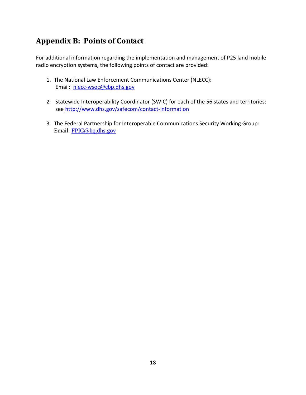# <span id="page-17-0"></span>**Appendix B: Points of Contact**

For additional information regarding the implementation and management of P25 land mobile radio encryption systems, the following points of contact are provided:

- 1. The National Law Enforcement Communications Center (NLECC): Email: [nlecc-wsoc@cbp.dhs.gov](mailto:nlecc-wsoc@cbp.dhs.gov)
- 2. Statewide Interoperability Coordinator (SWIC) for each of the 56 states and territories: see<http://www.dhs.gov/safecom/contact-information>
- 3. The Federal Partnership for Interoperable Communications Security Working Group: Email: [FPIC@hq.dhs.gov](mailto:FPIC@hq.dhs.gov)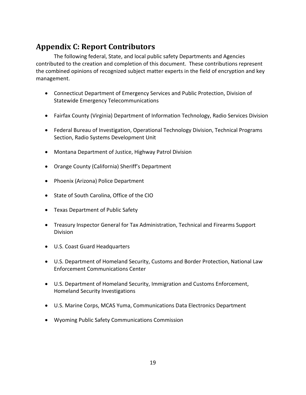# <span id="page-18-0"></span>**Appendix C: Report Contributors**

The following federal, State, and local public safety Departments and Agencies contributed to the creation and completion of this document. These contributions represent the combined opinions of recognized subject matter experts in the field of encryption and key management.

- Connecticut Department of Emergency Services and Public Protection, Division of Statewide Emergency Telecommunications
- Fairfax County (Virginia) Department of Information Technology, Radio Services Division
- Federal Bureau of Investigation, Operational Technology Division, Technical Programs Section, Radio Systems Development Unit
- Montana Department of Justice, Highway Patrol Division
- Orange County (California) Sheriff's Department
- Phoenix (Arizona) Police Department
- State of South Carolina, Office of the CIO
- Texas Department of Public Safety
- Treasury Inspector General for Tax Administration, Technical and Firearms Support Division
- U.S. Coast Guard Headquarters
- U.S. Department of Homeland Security, Customs and Border Protection, National Law Enforcement Communications Center
- U.S. Department of Homeland Security, Immigration and Customs Enforcement, Homeland Security Investigations
- U.S. Marine Corps, MCAS Yuma, Communications Data Electronics Department
- Wyoming Public Safety Communications Commission